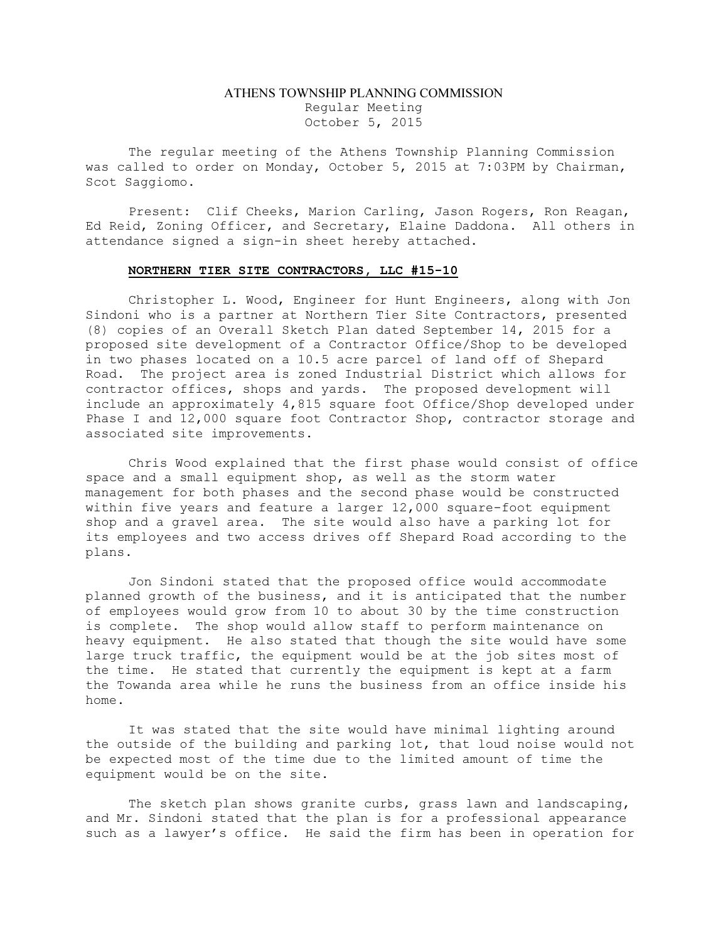## ATHENS TOWNSHIP PLANNING COMMISSION Regular Meeting October 5, 2015

The regular meeting of the Athens Township Planning Commission was called to order on Monday, October 5, 2015 at 7:03PM by Chairman, Scot Saggiomo.

Present: Clif Cheeks, Marion Carling, Jason Rogers, Ron Reagan, Ed Reid, Zoning Officer, and Secretary, Elaine Daddona. All others in attendance signed a sign-in sheet hereby attached.

## NORTHERN TIER SITE CONTRACTORS, LLC #15-10

Christopher L. Wood, Engineer for Hunt Engineers, along with Jon Sindoni who is a partner at Northern Tier Site Contractors, presented (8) copies of an Overall Sketch Plan dated September 14, 2015 for a proposed site development of a Contractor Office/Shop to be developed in two phases located on a 10.5 acre parcel of land off of Shepard Road. The project area is zoned Industrial District which allows for contractor offices, shops and yards. The proposed development will include an approximately 4,815 square foot Office/Shop developed under Phase I and 12,000 square foot Contractor Shop, contractor storage and associated site improvements.

Chris Wood explained that the first phase would consist of office space and a small equipment shop, as well as the storm water management for both phases and the second phase would be constructed within five years and feature a larger 12,000 square-foot equipment shop and a gravel area. The site would also have a parking lot for its employees and two access drives off Shepard Road according to the plans.

Jon Sindoni stated that the proposed office would accommodate planned growth of the business, and it is anticipated that the number of employees would grow from 10 to about 30 by the time construction is complete. The shop would allow staff to perform maintenance on heavy equipment. He also stated that though the site would have some large truck traffic, the equipment would be at the job sites most of the time. He stated that currently the equipment is kept at a farm the Towanda area while he runs the business from an office inside his home.

It was stated that the site would have minimal lighting around the outside of the building and parking lot, that loud noise would not be expected most of the time due to the limited amount of time the equipment would be on the site.

The sketch plan shows granite curbs, grass lawn and landscaping, and Mr. Sindoni stated that the plan is for a professional appearance such as a lawyer's office. He said the firm has been in operation for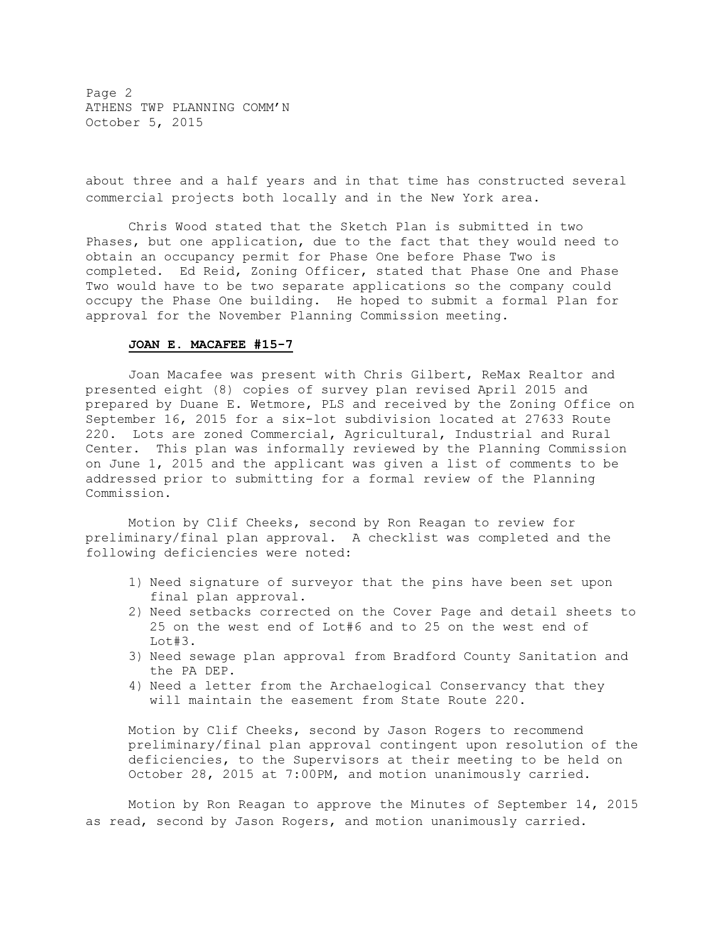Page 2 ATHENS TWP PLANNING COMM'N October 5, 2015

about three and a half years and in that time has constructed several commercial projects both locally and in the New York area.

Chris Wood stated that the Sketch Plan is submitted in two Phases, but one application, due to the fact that they would need to obtain an occupancy permit for Phase One before Phase Two is completed. Ed Reid, Zoning Officer, stated that Phase One and Phase Two would have to be two separate applications so the company could occupy the Phase One building. He hoped to submit a formal Plan for approval for the November Planning Commission meeting.

## JOAN E. MACAFEE #15-7

Joan Macafee was present with Chris Gilbert, ReMax Realtor and presented eight (8) copies of survey plan revised April 2015 and prepared by Duane E. Wetmore, PLS and received by the Zoning Office on September 16, 2015 for a six-lot subdivision located at 27633 Route 220. Lots are zoned Commercial, Agricultural, Industrial and Rural Center. This plan was informally reviewed by the Planning Commission on June 1, 2015 and the applicant was given a list of comments to be addressed prior to submitting for a formal review of the Planning Commission.

Motion by Clif Cheeks, second by Ron Reagan to review for preliminary/final plan approval. A checklist was completed and the following deficiencies were noted:

- 1) Need signature of surveyor that the pins have been set upon final plan approval.
- 2) Need setbacks corrected on the Cover Page and detail sheets to 25 on the west end of Lot#6 and to 25 on the west end of Lot#3.
- 3) Need sewage plan approval from Bradford County Sanitation and the PA DEP.
- 4) Need a letter from the Archaelogical Conservancy that they will maintain the easement from State Route 220.

Motion by Clif Cheeks, second by Jason Rogers to recommend preliminary/final plan approval contingent upon resolution of the deficiencies, to the Supervisors at their meeting to be held on October 28, 2015 at 7:00PM, and motion unanimously carried.

Motion by Ron Reagan to approve the Minutes of September 14, 2015 as read, second by Jason Rogers, and motion unanimously carried.